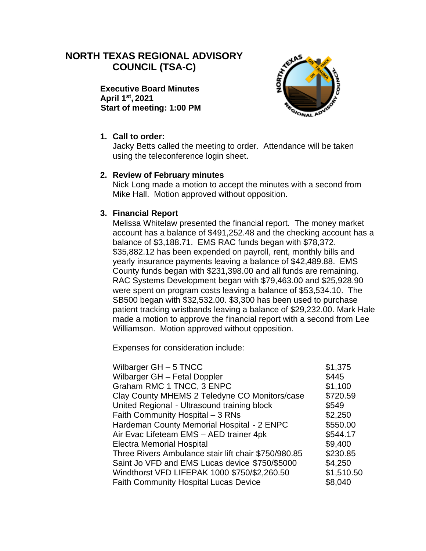# **NORTH TEXAS REGIONAL ADVISORY COUNCIL (TSA-C)**

**Executive Board Minutes April 1st , 2021 Start of meeting: 1:00 PM**



#### **1. Call to order:**

Jacky Betts called the meeting to order. Attendance will be taken using the teleconference login sheet.

#### **2. Review of February minutes**

Nick Long made a motion to accept the minutes with a second from Mike Hall. Motion approved without opposition.

#### **3. Financial Report**

Melissa Whitelaw presented the financial report. The money market account has a balance of \$491,252.48 and the checking account has a balance of \$3,188.71. EMS RAC funds began with \$78,372. \$35,882.12 has been expended on payroll, rent, monthly bills and yearly insurance payments leaving a balance of \$42,489.88. EMS County funds began with \$231,398.00 and all funds are remaining. RAC Systems Development began with \$79,463.00 and \$25,928.90 were spent on program costs leaving a balance of \$53,534.10. The SB500 began with \$32,532.00. \$3,300 has been used to purchase patient tracking wristbands leaving a balance of \$29,232.00. Mark Hale made a motion to approve the financial report with a second from Lee Williamson. Motion approved without opposition.

Expenses for consideration include:

| Wilbarger $GH - 5$ TNCC                              | \$1,375    |
|------------------------------------------------------|------------|
| Wilbarger GH - Fetal Doppler                         | \$445      |
| Graham RMC 1 TNCC, 3 ENPC                            | \$1,100    |
| Clay County MHEMS 2 Teledyne CO Monitors/case        | \$720.59   |
| United Regional - Ultrasound training block          | \$549      |
| Faith Community Hospital - 3 RNs                     | \$2,250    |
| Hardeman County Memorial Hospital - 2 ENPC           | \$550.00   |
| Air Evac Lifeteam EMS - AED trainer 4pk              | \$544.17   |
| <b>Electra Memorial Hospital</b>                     | \$9,400    |
| Three Rivers Ambulance stair lift chair \$750/980.85 | \$230.85   |
| Saint Jo VFD and EMS Lucas device \$750/\$5000       | \$4,250    |
| Windthorst VFD LIFEPAK 1000 \$750/\$2,260.50         | \$1,510.50 |
| <b>Faith Community Hospital Lucas Device</b>         | \$8,040    |